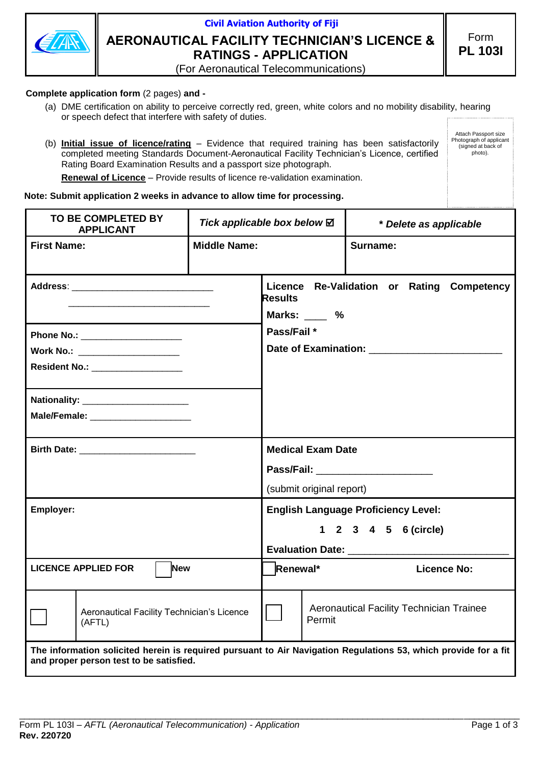

# **Civil Aviation Authority of Fiji AERONAUTICAL FACILITY TECHNICIAN'S LICENCE & RATINGS - APPLICATION**

Attach Passport size Photograph of applicant (signed at back of photo).

(For Aeronautical Telecommunications)

### **Complete application form** (2 pages) **and -**

- (a) DME certification on ability to perceive correctly red, green, white colors and no mobility disability, hearing or speech defect that interfere with safety of duties.
- (b) **Initial issue of licence/rating** Evidence that required training has been satisfactorily completed meeting Standards Document-Aeronautical Facility Technician's Licence, certified Rating Board Examination Results and a passport size photograph.

**Renewal of Licence** – Provide results of licence re-validation examination.

#### **Note: Submit application 2 weeks in advance to allow time for processing.**

| TO BE COMPLETED BY<br><b>APPLICANT</b>                                                                                                                     | Tick applicable box below ⊠ |                            | * Delete as applicable                     |  |  |
|------------------------------------------------------------------------------------------------------------------------------------------------------------|-----------------------------|----------------------------|--------------------------------------------|--|--|
| <b>First Name:</b>                                                                                                                                         | <b>Middle Name:</b>         |                            | Surname:                                   |  |  |
|                                                                                                                                                            |                             | <b>Results</b><br>Marks: % | Licence Re-Validation or Rating Competency |  |  |
| Phone No.: _______________________                                                                                                                         |                             | Pass/Fail *                |                                            |  |  |
| Work No.: ______________________                                                                                                                           |                             |                            | Date of Examination: _________________     |  |  |
|                                                                                                                                                            |                             |                            |                                            |  |  |
|                                                                                                                                                            |                             |                            |                                            |  |  |
| Male/Female: _______________________                                                                                                                       |                             |                            |                                            |  |  |
|                                                                                                                                                            |                             | <b>Medical Exam Date</b>   |                                            |  |  |
|                                                                                                                                                            |                             |                            | Pass/Fail: National Pass/Fail:             |  |  |
|                                                                                                                                                            |                             | (submit original report)   |                                            |  |  |
| Employer:                                                                                                                                                  |                             |                            | <b>English Language Proficiency Level:</b> |  |  |
|                                                                                                                                                            |                             |                            | 1 2 3 4 5 6 (circle)                       |  |  |
|                                                                                                                                                            |                             |                            |                                            |  |  |
| <b>LICENCE APPLIED FOR</b><br><b>New</b>                                                                                                                   |                             | Renewal*                   | <b>Licence No:</b>                         |  |  |
| Aeronautical Facility Technician's Licence<br>(AFTL)                                                                                                       |                             | Permit                     | Aeronautical Facility Technician Trainee   |  |  |
| The information solicited herein is required pursuant to Air Navigation Regulations 53, which provide for a fit<br>and proper person test to be satisfied. |                             |                            |                                            |  |  |

\_\_\_\_\_\_\_\_\_\_\_\_\_\_\_\_\_\_\_\_\_\_\_\_\_\_\_\_\_\_\_\_\_\_\_\_\_\_\_\_\_\_\_\_\_\_\_\_\_\_\_\_\_\_\_\_\_\_\_\_\_\_\_\_\_\_\_\_\_\_\_\_\_\_\_\_\_\_\_\_\_\_\_\_\_\_\_\_\_\_\_\_\_\_\_\_\_\_\_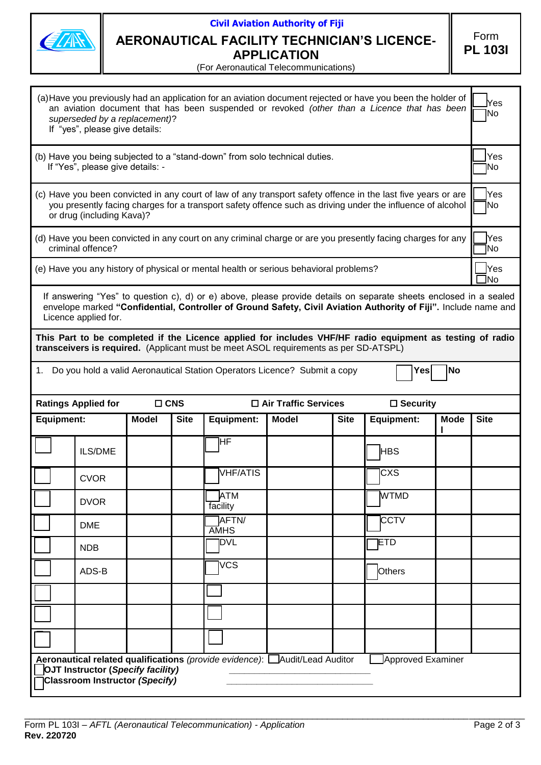| 2 |
|---|
|---|

# **Civil Aviation Authority of Fiji**

## **AERONAUTICAL FACILITY TECHNICIAN'S LICENCE-APPLICATION**

Form **PL 103I**

(For Aeronautical Telecommunications)

| (a) Have you previously had an application for an aviation document rejected or have you been the holder of<br>an aviation document that has been suspended or revoked (other than a Licence that has been<br>superseded by a replacement)?<br>If "yes", please give details: |                                                                                                                                                                                                                                                              |              |             |                        |                                                                                       |             |             | lYes<br>No        |                   |
|-------------------------------------------------------------------------------------------------------------------------------------------------------------------------------------------------------------------------------------------------------------------------------|--------------------------------------------------------------------------------------------------------------------------------------------------------------------------------------------------------------------------------------------------------------|--------------|-------------|------------------------|---------------------------------------------------------------------------------------|-------------|-------------|-------------------|-------------------|
| (b) Have you being subjected to a "stand-down" from solo technical duties.<br>If "Yes", please give details: -                                                                                                                                                                |                                                                                                                                                                                                                                                              |              |             |                        |                                                                                       |             |             | Yes<br>]No        |                   |
| (c) Have you been convicted in any court of law of any transport safety offence in the last five years or are<br>you presently facing charges for a transport safety offence such as driving under the influence of alcohol<br>or drug (including Kava)?                      |                                                                                                                                                                                                                                                              |              |             |                        |                                                                                       |             |             | <b>Yes</b><br>1No |                   |
|                                                                                                                                                                                                                                                                               | (d) Have you been convicted in any court on any criminal charge or are you presently facing charges for any<br>criminal offence?                                                                                                                             |              |             |                        |                                                                                       |             |             | Yes<br>No.        |                   |
|                                                                                                                                                                                                                                                                               |                                                                                                                                                                                                                                                              |              |             |                        | (e) Have you any history of physical or mental health or serious behavioral problems? |             |             |                   | <b>Yes</b><br>lNo |
|                                                                                                                                                                                                                                                                               | If answering "Yes" to question c), d) or e) above, please provide details on separate sheets enclosed in a sealed<br>envelope marked "Confidential, Controller of Ground Safety, Civil Aviation Authority of Fiji". Include name and<br>Licence applied for. |              |             |                        |                                                                                       |             |             |                   |                   |
| This Part to be completed if the Licence applied for includes VHF/HF radio equipment as testing of radio<br>transceivers is required. (Applicant must be meet ASOL requirements as per SD-ATSPL)                                                                              |                                                                                                                                                                                                                                                              |              |             |                        |                                                                                       |             |             |                   |                   |
| 1. Do you hold a valid Aeronautical Station Operators Licence? Submit a copy<br>lNo<br>Yes                                                                                                                                                                                    |                                                                                                                                                                                                                                                              |              |             |                        |                                                                                       |             |             |                   |                   |
| <b>Ratings Applied for</b><br>$\Box$ CNS<br>□ Air Traffic Services<br>$\square$ Security                                                                                                                                                                                      |                                                                                                                                                                                                                                                              |              |             |                        |                                                                                       |             |             |                   |                   |
|                                                                                                                                                                                                                                                                               |                                                                                                                                                                                                                                                              |              |             |                        |                                                                                       |             |             |                   |                   |
| <b>Equipment:</b>                                                                                                                                                                                                                                                             |                                                                                                                                                                                                                                                              | <b>Model</b> | <b>Site</b> | <b>Equipment:</b>      | <b>Model</b>                                                                          | <b>Site</b> | Equipment:  | <b>Mode</b>       | <b>Site</b>       |
|                                                                                                                                                                                                                                                                               | ILS/DME                                                                                                                                                                                                                                                      |              |             | HF                     |                                                                                       |             | <b>HBS</b>  |                   |                   |
|                                                                                                                                                                                                                                                                               | <b>CVOR</b>                                                                                                                                                                                                                                                  |              |             | <b>VHF/ATIS</b>        |                                                                                       |             | <b>CXS</b>  |                   |                   |
|                                                                                                                                                                                                                                                                               | <b>DVOR</b>                                                                                                                                                                                                                                                  |              |             | <b>ATM</b><br>facility |                                                                                       |             | <b>WTMD</b> |                   |                   |
|                                                                                                                                                                                                                                                                               | <b>DME</b>                                                                                                                                                                                                                                                   |              |             | AFTN/<br><b>AMHS</b>   |                                                                                       |             | <b>CCTV</b> |                   |                   |
|                                                                                                                                                                                                                                                                               | <b>NDB</b>                                                                                                                                                                                                                                                   |              |             | <b>DVL</b>             |                                                                                       |             | <b>ETD</b>  |                   |                   |
|                                                                                                                                                                                                                                                                               | ADS-B                                                                                                                                                                                                                                                        |              |             | <b>VCS</b>             |                                                                                       |             | Others      |                   |                   |
|                                                                                                                                                                                                                                                                               |                                                                                                                                                                                                                                                              |              |             |                        |                                                                                       |             |             |                   |                   |
|                                                                                                                                                                                                                                                                               |                                                                                                                                                                                                                                                              |              |             |                        |                                                                                       |             |             |                   |                   |
|                                                                                                                                                                                                                                                                               |                                                                                                                                                                                                                                                              |              |             |                        |                                                                                       |             |             |                   |                   |

\_\_\_\_\_\_\_\_\_\_\_\_\_\_\_\_\_\_\_\_\_\_\_\_\_\_\_\_\_\_\_\_\_\_\_\_\_\_\_\_\_\_\_\_\_\_\_\_\_\_\_\_\_\_\_\_\_\_\_\_\_\_\_\_\_\_\_\_\_\_\_\_\_\_\_\_\_\_\_\_\_\_\_\_\_\_\_\_\_\_\_\_\_\_\_\_\_\_\_